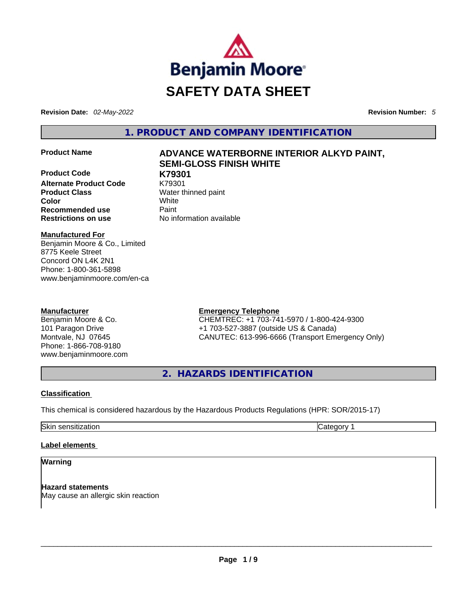

**Revision Date:** *02-May-2022* **Revision Number:** *5*

**1. PRODUCT AND COMPANY IDENTIFICATION** 

**Product Code K79301 Alternate Product Code Product Class Water thinned paint Color** White **Recommended use <b>Paint Restrictions on use** No information available

# **Product Name ADVANCE WATERBORNE INTERIOR ALKYD PAINT, SEMI-GLOSS FINISH WHITE**

**Manufactured For** Benjamin Moore & Co., Limited

8775 Keele Street Concord ON L4K 2N1 Phone: 1-800-361-5898 www.benjaminmoore.com/en-ca

# **Manufacturer**

Benjamin Moore & Co. 101 Paragon Drive Montvale, NJ 07645 Phone: 1-866-708-9180 www.benjaminmoore.com

# **Emergency Telephone**

CHEMTREC: +1 703-741-5970 / 1-800-424-9300 +1 703-527-3887 (outside US & Canada) CANUTEC: 613-996-6666 (Transport Emergency Only)

**2. HAZARDS IDENTIFICATION** 

# **Classification**

This chemical is considered hazardous by the Hazardous Products Regulations (HPR: SOR/2015-17)

Skin sensitization **Category 1 Category 1** 

#### **Label elements**

# **Warning**

**Hazard statements** May cause an allergic skin reaction \_\_\_\_\_\_\_\_\_\_\_\_\_\_\_\_\_\_\_\_\_\_\_\_\_\_\_\_\_\_\_\_\_\_\_\_\_\_\_\_\_\_\_\_\_\_\_\_\_\_\_\_\_\_\_\_\_\_\_\_\_\_\_\_\_\_\_\_\_\_\_\_\_\_\_\_\_\_\_\_\_\_\_\_\_\_\_\_\_\_\_\_\_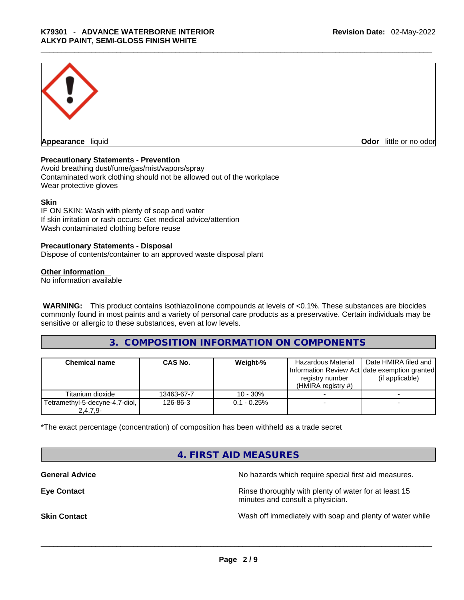

**Appearance** liquid **Odor 11** and **Odor 11** and **Odor 11** and **Odor 11** and **Odor 11** and **Odor** 11 and **Odor** 11 and **Odor** 11 and **Odor** 11 and **Odor** 11 and **Odor** 11 and **Odor** 11 and **Odor** 11 and **Odor** 11 and **Odor** 

#### **Precautionary Statements - Prevention**

Avoid breathing dust/fume/gas/mist/vapors/spray Contaminated work clothing should not be allowed out of the workplace Wear protective gloves

#### **Skin**

IF ON SKIN: Wash with plenty of soap and water If skin irritation or rash occurs: Get medical advice/attention Wash contaminated clothing before reuse

#### **Precautionary Statements - Disposal**

Dispose of contents/container to an approved waste disposal plant

#### **Other information**

No information available

**WARNING:** This product contains isothiazolinone compounds at levels of <0.1%. These substances are biocides commonly found in most paints and a variety of personal care products as a preservative. Certain individuals may be sensitive or allergic to these substances, even at low levels.

# **3. COMPOSITION INFORMATION ON COMPONENTS**

| <b>Chemical name</b>                         | <b>CAS No.</b> | Weight-%       | <b>Hazardous Material</b><br>Information Review Act date exemption granted<br>registry number<br>$(HMIRA$ registry #) | Date HMIRA filed and<br>(if applicable) |
|----------------------------------------------|----------------|----------------|-----------------------------------------------------------------------------------------------------------------------|-----------------------------------------|
| Titanium dioxide                             | 13463-67-7     | $10 - 30%$     |                                                                                                                       |                                         |
| Tetramethyl-5-decyne-4,7-diol,<br>$2,4,7,9-$ | 126-86-3       | $0.1 - 0.25\%$ |                                                                                                                       |                                         |

\*The exact percentage (concentration) of composition has been withheld as a trade secret

# **4. FIRST AID MEASURES**

**General Advice General Advice No hazards which require special first aid measures.** 

**Eye Contact <b>Rinse** thoroughly with plenty of water for at least 15 minutes and consult a physician.

**Skin Contact Number 2012 Wash off immediately with soap and plenty of water while**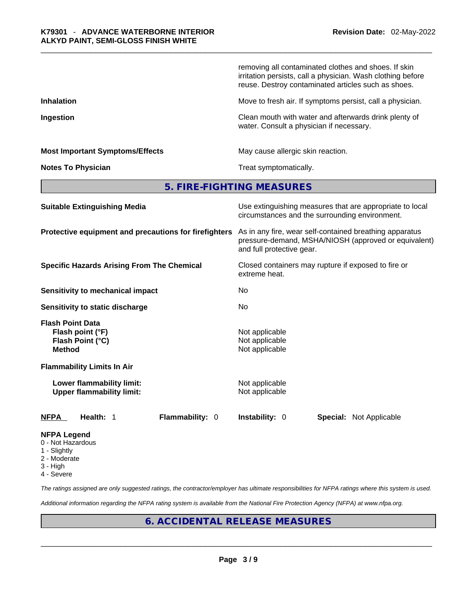|                                                                                  | removing all contaminated clothes and shoes. If skin<br>irritation persists, call a physician. Wash clothing before<br>reuse. Destroy contaminated articles such as shoes. |
|----------------------------------------------------------------------------------|----------------------------------------------------------------------------------------------------------------------------------------------------------------------------|
| <b>Inhalation</b>                                                                | Move to fresh air. If symptoms persist, call a physician.                                                                                                                  |
| Ingestion                                                                        | Clean mouth with water and afterwards drink plenty of<br>water. Consult a physician if necessary.                                                                          |
| <b>Most Important Symptoms/Effects</b>                                           | May cause allergic skin reaction.                                                                                                                                          |
| <b>Notes To Physician</b>                                                        | Treat symptomatically.                                                                                                                                                     |
|                                                                                  | 5. FIRE-FIGHTING MEASURES                                                                                                                                                  |
| <b>Suitable Extinguishing Media</b>                                              | Use extinguishing measures that are appropriate to local<br>circumstances and the surrounding environment.                                                                 |
| Protective equipment and precautions for firefighters                            | As in any fire, wear self-contained breathing apparatus<br>pressure-demand, MSHA/NIOSH (approved or equivalent)<br>and full protective gear.                               |
| <b>Specific Hazards Arising From The Chemical</b>                                | Closed containers may rupture if exposed to fire or<br>extreme heat.                                                                                                       |
| <b>Sensitivity to mechanical impact</b>                                          | N <sub>0</sub>                                                                                                                                                             |
| Sensitivity to static discharge                                                  | No                                                                                                                                                                         |
| <b>Flash Point Data</b><br>Flash point (°F)<br>Flash Point (°C)<br><b>Method</b> | Not applicable<br>Not applicable<br>Not applicable                                                                                                                         |
| <b>Flammability Limits In Air</b>                                                |                                                                                                                                                                            |
| Lower flammability limit:<br><b>Upper flammability limit:</b>                    | Not applicable<br>Not applicable                                                                                                                                           |
| <b>NFPA</b><br>Health: 1<br>Flammability: 0                                      | Instability: 0<br><b>Special: Not Applicable</b>                                                                                                                           |
| <b>NFPA Legend</b>                                                               |                                                                                                                                                                            |

- 0 Not Hazardous
- 1 Slightly
- 2 Moderate
- 3 High
- 4 Severe

*The ratings assigned are only suggested ratings, the contractor/employer has ultimate responsibilities for NFPA ratings where this system is used.* 

*Additional information regarding the NFPA rating system is available from the National Fire Protection Agency (NFPA) at www.nfpa.org.* 

# **6. ACCIDENTAL RELEASE MEASURES**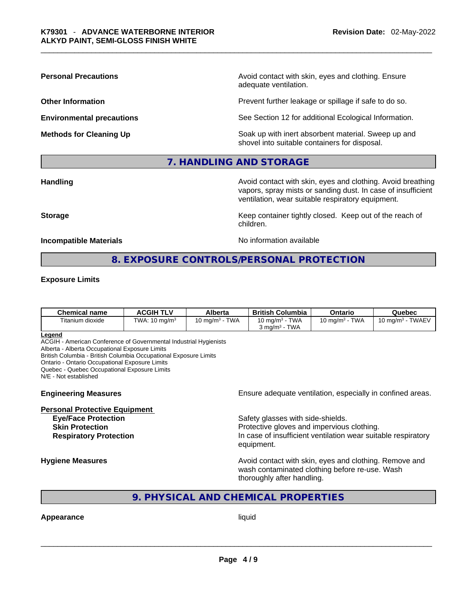**Personal Precautions Avoid contact with skin, eyes and clothing. Ensure Personal Precautions** adequate ventilation.

**Other Information Determined Intervention** Prevent further leakage or spillage if safe to do so.

**Environmental precautions** See Section 12 for additional Ecological Information.

**Methods for Cleaning Up Example 20 Soak** up with inert absorbent material. Sweep up and shovel into suitable containers for disposal.

## **7. HANDLING AND STORAGE**

**Handling Avoid contact with skin, eyes and clothing. Avoid breathing Handling Avoid breathing** vapors, spray mists or sanding dust. In case of insufficient ventilation, wear suitable respiratory equipment.

**Storage Example 20 Keep container tightly closed. Keep out of the reach of Keep** out of the reach of

**Incompatible Materials No information available No** information available

# **8. EXPOSURE CONTROLS/PERSONAL PROTECTION**

children.

#### **Exposure Limits**

| Chemical name    | <b>ACGIH TLV</b>         | Alberta                            | <b>British Columbia</b>                 | Ontario                         | Quebec              |
|------------------|--------------------------|------------------------------------|-----------------------------------------|---------------------------------|---------------------|
| Titanium dioxide | TWA: $10 \text{ mg/m}^3$ | <b>TWA</b><br>10 mg/m <sup>3</sup> | 10 mg/m $3$ - TWA<br>TWA<br>კ mɑ/m͡ - ¯ | <b>TWA</b><br>10 mg/m $3 \cdot$ | 10 mg/m $3$ - TWAEV |

#### **Legend**

ACGIH - American Conference of Governmental Industrial Hygienists

Alberta - Alberta Occupational Exposure Limits

British Columbia - British Columbia Occupational Exposure Limits

Ontario - Ontario Occupational Exposure Limits

Quebec - Quebec Occupational Exposure Limits

N/E - Not established

#### **Personal Protective Equipment**

**Engineering Measures Ensure** Ensure adequate ventilation, especially in confined areas.

**Eye/Face Protection Safety glasses with side-shields. Skin Protection Protection Protective gloves and impervious clothing. Respiratory Protection In case of insufficient ventilation wear suitable respiratory** equipment.

**Hygiene Measures Avoid contact with skin, eyes and clothing. Remove and Avoid contact with skin, eyes and clothing. Remove and Avoid contact with skin, eyes and clothing. Remove and** wash contaminated clothing before re-use. Wash thoroughly after handling.

# **9. PHYSICAL AND CHEMICAL PROPERTIES**

# **Appearance** liquid \_\_\_\_\_\_\_\_\_\_\_\_\_\_\_\_\_\_\_\_\_\_\_\_\_\_\_\_\_\_\_\_\_\_\_\_\_\_\_\_\_\_\_\_\_\_\_\_\_\_\_\_\_\_\_\_\_\_\_\_\_\_\_\_\_\_\_\_\_\_\_\_\_\_\_\_\_\_\_\_\_\_\_\_\_\_\_\_\_\_\_\_\_

**Page 4 / 9**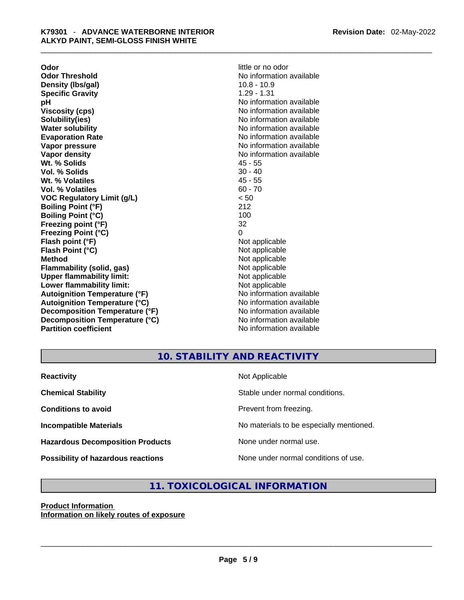**Odor little or no odor Odor Threshold No information available No information available Density (lbs/gal)** 10.8 - 10.9<br> **Specific Gravity** 1.29 - 1.31 **Specific Gravity pH**<br>
Viscosity (cps) The Contract Contract Contract Contract Contract Contract Contract Contract Contract Contract C<br>
No information available **Solubility(ies)** No information available in the solution of the solution of the solution available in the solution of the solution of the solution of the solution of the solution of the solution of the solution of the so **Water solubility Water Solubility**<br> **Evaporation Rate** Moinformation available **Vapor pressure**  No information available **Vapor pressure No information available Vapor density**<br> **We Solids**<br>
We Solid Wi, % Solids
2018 Wt. % Solids **Vol. % Solids** 30 - 40 **Wt. % Volatiles** 45 - 55 **Vol. % Volatiles** 60 - 70 **VOC Regulatory Limit (g/L)** < 50 **Boiling Point (°F)** 212 **Boiling Point (°C)** 100 **Freezing point (°F)** 32 **Freezing Point (°C)** 0 **Flash point (°F)** Not applicable **Flash Point (°C)** Not applicable **Method** Not applicable **Flammability (solid, gas)** Not applicable **Upper flammability limit:** Not applicable **Lower flammability limit:** Not applicable **Autoignition Temperature (°F)** No information available **Autoignition Temperature (°C)** No information available **Decomposition Temperature (°F)** No information available **Decomposition Temperature (°C)** No information available **Partition coefficient** No information available

**Viscosity (cps)** No information available **Evaporation Rate** No information available

# **10. STABILITY AND REACTIVITY**

| <b>Reactivity</b>                       | Not Applicable                           |
|-----------------------------------------|------------------------------------------|
| <b>Chemical Stability</b>               | Stable under normal conditions.          |
| <b>Conditions to avoid</b>              | Prevent from freezing.                   |
| <b>Incompatible Materials</b>           | No materials to be especially mentioned. |
| <b>Hazardous Decomposition Products</b> | None under normal use.                   |
| Possibility of hazardous reactions      | None under normal conditions of use.     |

# **11. TOXICOLOGICAL INFORMATION**

## **Product Information Information on likely routes of exposure**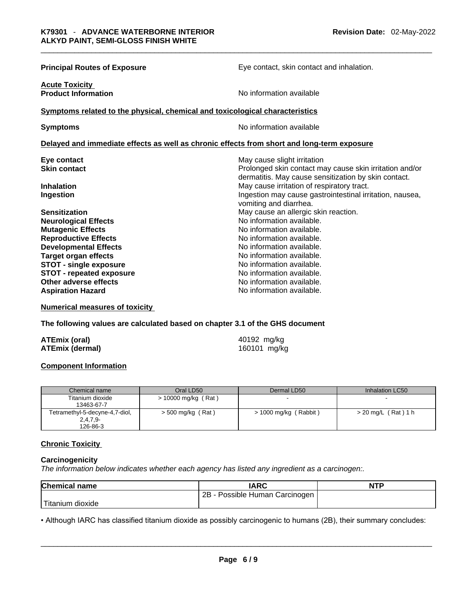| <b>Principal Routes of Exposure</b>                                                        | Eye contact, skin contact and inhalation.                                                                                                      |  |  |  |
|--------------------------------------------------------------------------------------------|------------------------------------------------------------------------------------------------------------------------------------------------|--|--|--|
| <b>Acute Toxicity</b><br><b>Product Information</b>                                        | No information available                                                                                                                       |  |  |  |
| Symptoms related to the physical, chemical and toxicological characteristics               |                                                                                                                                                |  |  |  |
| <b>Symptoms</b>                                                                            | No information available                                                                                                                       |  |  |  |
| Delayed and immediate effects as well as chronic effects from short and long-term exposure |                                                                                                                                                |  |  |  |
| Eye contact<br><b>Skin contact</b>                                                         | May cause slight irritation<br>Prolonged skin contact may cause skin irritation and/or<br>dermatitis. May cause sensitization by skin contact. |  |  |  |
| <b>Inhalation</b><br>Ingestion                                                             | May cause irritation of respiratory tract.<br>Ingestion may cause gastrointestinal irritation, nausea,<br>vomiting and diarrhea.               |  |  |  |
| <b>Sensitization</b>                                                                       | May cause an allergic skin reaction.                                                                                                           |  |  |  |
| <b>Neurological Effects</b>                                                                | No information available.                                                                                                                      |  |  |  |
| <b>Mutagenic Effects</b>                                                                   | No information available.                                                                                                                      |  |  |  |
| <b>Reproductive Effects</b>                                                                | No information available.                                                                                                                      |  |  |  |
| <b>Developmental Effects</b>                                                               | No information available.                                                                                                                      |  |  |  |
| <b>Target organ effects</b>                                                                | No information available.                                                                                                                      |  |  |  |
| <b>STOT - single exposure</b>                                                              | No information available.                                                                                                                      |  |  |  |
| <b>STOT - repeated exposure</b>                                                            | No information available.                                                                                                                      |  |  |  |
| Other adverse effects                                                                      | No information available.                                                                                                                      |  |  |  |
| <b>Aspiration Hazard</b>                                                                   | No information available.                                                                                                                      |  |  |  |

**Numerical measures of toxicity**

**The following values are calculated based on chapter 3.1 of the GHS document**

| <b>ATEmix (oral)</b>   | 40192 mg/kg  |
|------------------------|--------------|
| <b>ATEmix (dermal)</b> | 160101 mg/kg |

## **Component Information**

| Chemical name                  | Oral LD50             | Dermal LD50           | Inhalation LC50       |
|--------------------------------|-----------------------|-----------------------|-----------------------|
| Titanium dioxide               | $> 10000$ mg/kg (Rat) | -                     |                       |
| 13463-67-7                     |                       |                       |                       |
| Tetramethyl-5-decyne-4,7-diol, | > 500 mg/kg (Rat)     | > 1000 mg/kg (Rabbit) | $>$ 20 mg/L (Rat) 1 h |
| $2,4,7,9-$                     |                       |                       |                       |
| 126-86-3                       |                       |                       |                       |

#### **Chronic Toxicity**

#### **Carcinogenicity**

*The information below indicates whether each agency has listed any ingredient as a carcinogen:.* 

| <b>Chemical name</b>                                                                                              | <b>IARC</b>                    | <b>NTP</b> |
|-------------------------------------------------------------------------------------------------------------------|--------------------------------|------------|
|                                                                                                                   | 2B - Possible Human Carcinogen |            |
| Titanium dioxide                                                                                                  |                                |            |
| • Although IARC has classified titanium dioxide as possibly carcinogenic to humans (2B), their summary concludes: |                                |            |

• Although IARC has classified titanium dioxide as possibly carcinogenic to humans (2B), their summary concludes: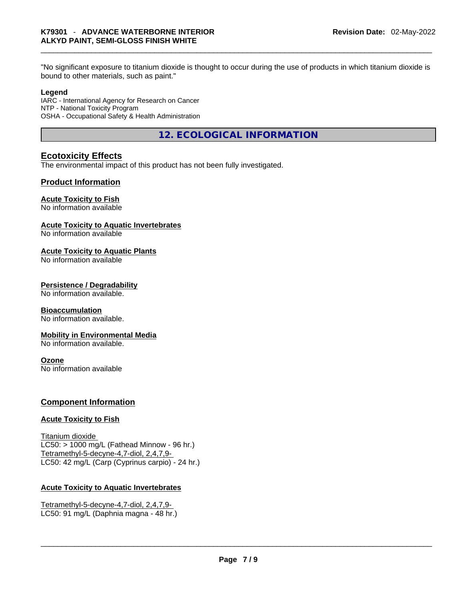bound to other materials, such as paint."

#### **Legend**

IARC - International Agency for Research on Cancer NTP - National Toxicity Program OSHA - Occupational Safety & Health Administration

**12. ECOLOGICAL INFORMATION** 

# **Ecotoxicity Effects**

The environmental impact of this product has not been fully investigated.

# **Product Information**

# **Acute Toxicity to Fish**

No information available

## **Acute Toxicity to Aquatic Invertebrates**

No information available

# **Acute Toxicity to Aquatic Plants**

No information available

## **Persistence / Degradability**

No information available.

#### **Bioaccumulation**

No information available.

#### **Mobility in Environmental Media**

No information available.

#### **Ozone**

No information available

# **Component Information**

#### **Acute Toxicity to Fish**

Titanium dioxide  $LC50:$  > 1000 mg/L (Fathead Minnow - 96 hr.) Tetramethyl-5-decyne-4,7-diol, 2,4,7,9- LC50: 42 mg/L (Carp (Cyprinus carpio) - 24 hr.)

# **Acute Toxicity to Aquatic Invertebrates**

Tetramethyl-5-decyne-4,7-diol, 2,4,7,9- LC50: 91 mg/L (Daphnia magna - 48 hr.)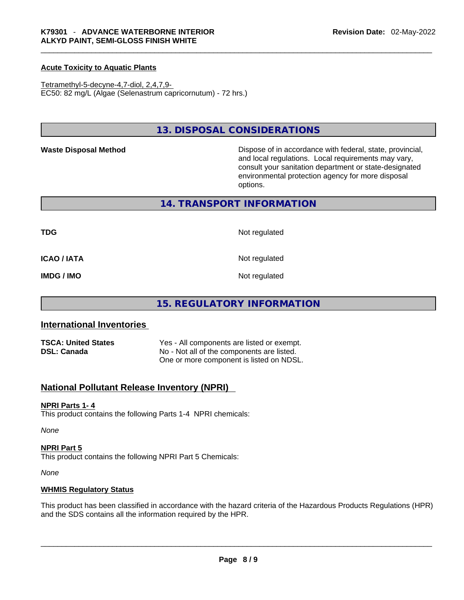## **Acute Toxicity to Aquatic Plants**

Tetramethyl-5-decyne-4,7-diol, 2,4,7,9- EC50: 82 mg/L (Algae (Selenastrum capricornutum) - 72 hrs.)

# **13. DISPOSAL CONSIDERATIONS**

Waste Disposal Method **Waste Disposal Method Dispose of in accordance with federal, state, provincial,** and local regulations. Local requirements may vary, consult your sanitation department or state-designated environmental protection agency for more disposal options.

## **14. TRANSPORT INFORMATION**

**TDG** Not regulated

**ICAO / IATA** Not regulated

**IMDG / IMO** Not regulated

# **15. REGULATORY INFORMATION**

# **International Inventories**

| <b>TSCA: United States</b> | Yes - All components are listed or exempt. |
|----------------------------|--------------------------------------------|
| <b>DSL: Canada</b>         | No - Not all of the components are listed. |
|                            | One or more component is listed on NDSL.   |

# **National Pollutant Release Inventory (NPRI)**

#### **NPRI Parts 1- 4**

This product contains the following Parts 1-4 NPRI chemicals:

*None*

#### **NPRI Part 5**

This product contains the following NPRI Part 5 Chemicals:

*None*

#### **WHMIS Regulatory Status**

This product has been classified in accordance with the hazard criteria of the Hazardous Products Regulations (HPR) and the SDS contains all the information required by the HPR. \_\_\_\_\_\_\_\_\_\_\_\_\_\_\_\_\_\_\_\_\_\_\_\_\_\_\_\_\_\_\_\_\_\_\_\_\_\_\_\_\_\_\_\_\_\_\_\_\_\_\_\_\_\_\_\_\_\_\_\_\_\_\_\_\_\_\_\_\_\_\_\_\_\_\_\_\_\_\_\_\_\_\_\_\_\_\_\_\_\_\_\_\_